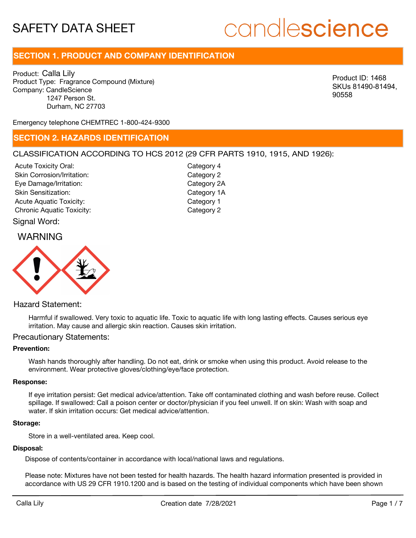# candlescience

## **SECTION 1. PRODUCT AND COMPANY IDENTIFICATION**

Product: Calla Lily Product Type: Fragrance Compound (Mixture) Company: CandleScience 1247 Person St. Durham, NC 27703

Product ID: 1468 SKUs 81490-81494, 90558

Emergency telephone CHEMTREC 1-800-424-9300

### **SECTION 2. HAZARDS IDENTIFICATION**

#### CLASSIFICATION ACCORDING TO HCS 2012 (29 CFR PARTS 1910, 1915, AND 1926):

Acute Toxicity Oral: Skin Corrosion/Irritation: Eye Damage/Irritation: Skin Sensitization: Acute Aquatic Toxicity: Category 1 Chronic Aquatic Toxicity: Chronic Aquatic Toxicity:

Category 4 Category 2 Category 2A Category 1A

#### Signal Word:

### WARNING



#### Hazard Statement:

Harmful if swallowed. Very toxic to aquatic life. Toxic to aquatic life with long lasting effects. Causes serious eye irritation. May cause and allergic skin reaction. Causes skin irritation.

#### Precautionary Statements:

#### **Prevention:**

Wash hands thoroughly after handling. Do not eat, drink or smoke when using this product. Avoid release to the environment. Wear protective gloves/clothing/eye/face protection.

#### **Response:**

If eye irritation persist: Get medical advice/attention. Take off contaminated clothing and wash before reuse. Collect spillage. If swallowed: Call a poison center or doctor/physician if you feel unwell. If on skin: Wash with soap and water. If skin irritation occurs: Get medical advice/attention.

#### **Storage:**

Store in a well-ventilated area. Keep cool.

#### **Disposal:**

Dispose of contents/container in accordance with local/national laws and regulations.

Please note: Mixtures have not been tested for health hazards. The health hazard information presented is provided in accordance with US 29 CFR 1910.1200 and is based on the testing of individual components which have been shown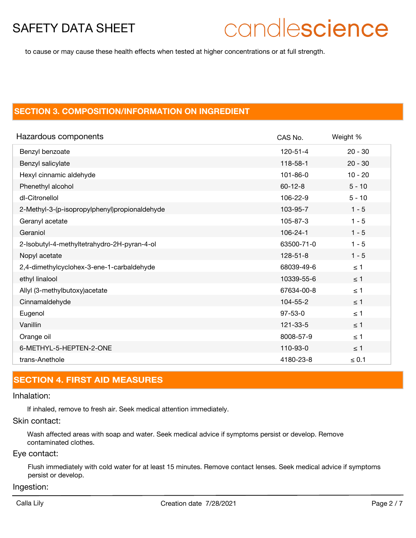# candlescience

to cause or may cause these health effects when tested at higher concentrations or at full strength.

### **SECTION 3. COMPOSITION/INFORMATION ON INGREDIENT**

| Hazardous components                          | CAS No.        | Weight %   |
|-----------------------------------------------|----------------|------------|
| Benzyl benzoate                               | 120-51-4       | $20 - 30$  |
| Benzyl salicylate                             | 118-58-1       | $20 - 30$  |
| Hexyl cinnamic aldehyde                       | $101 - 86 - 0$ | $10 - 20$  |
| Phenethyl alcohol                             | $60 - 12 - 8$  | $5 - 10$   |
| dl-Citronellol                                | 106-22-9       | $5 - 10$   |
| 2-Methyl-3-(p-isopropylphenyl)propionaldehyde | 103-95-7       | $1 - 5$    |
| Geranyl acetate                               | 105-87-3       | $1 - 5$    |
| Geraniol                                      | $106 - 24 - 1$ | $1 - 5$    |
| 2-Isobutyl-4-methyltetrahydro-2H-pyran-4-ol   | 63500-71-0     | $1 - 5$    |
| Nopyl acetate                                 | $128 - 51 - 8$ | $1 - 5$    |
| 2,4-dimethylcyclohex-3-ene-1-carbaldehyde     | 68039-49-6     | $\leq 1$   |
| ethyl linalool                                | 10339-55-6     | $\leq$ 1   |
| Allyl (3-methylbutoxy) acetate                | 67634-00-8     | $\leq$ 1   |
| Cinnamaldehyde                                | 104-55-2       | $\leq$ 1   |
| Eugenol                                       | $97 - 53 - 0$  | $\leq 1$   |
| Vanillin                                      | 121-33-5       | $\leq$ 1   |
| Orange oil                                    | 8008-57-9      | $\leq 1$   |
| 6-METHYL-5-HEPTEN-2-ONE                       | 110-93-0       | $\leq$ 1   |
| trans-Anethole                                | 4180-23-8      | $\leq 0.1$ |

## **SECTION 4. FIRST AID MEASURES**

#### Inhalation:

If inhaled, remove to fresh air. Seek medical attention immediately.

#### Skin contact:

Wash affected areas with soap and water. Seek medical advice if symptoms persist or develop. Remove contaminated clothes.

#### Eye contact:

Flush immediately with cold water for at least 15 minutes. Remove contact lenses. Seek medical advice if symptoms persist or develop.

#### Ingestion: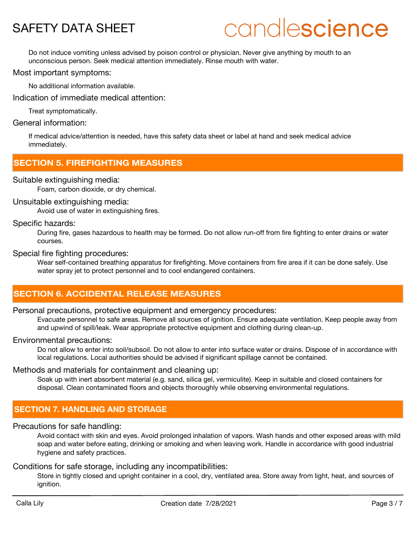# candlescience

Do not induce vomiting unless advised by poison control or physician. Never give anything by mouth to an unconscious person. Seek medical attention immediately. Rinse mouth with water.

#### Most important symptoms:

No additional information available.

Indication of immediate medical attention:

Treat symptomatically.

#### General information:

If medical advice/attention is needed, have this safety data sheet or label at hand and seek medical advice immediately.

### **SECTION 5. FIREFIGHTING MEASURES**

#### Suitable extinguishing media:

Foam, carbon dioxide, or dry chemical.

#### Unsuitable extinguishing media:

Avoid use of water in extinguishing fires.

#### Specific hazards:

During fire, gases hazardous to health may be formed. Do not allow run-off from fire fighting to enter drains or water courses.

#### Special fire fighting procedures:

Wear self-contained breathing apparatus for firefighting. Move containers from fire area if it can be done safely. Use water spray jet to protect personnel and to cool endangered containers.

## **SECTION 6. ACCIDENTAL RELEASE MEASURES**

#### Personal precautions, protective equipment and emergency procedures:

Evacuate personnel to safe areas. Remove all sources of ignition. Ensure adequate ventilation. Keep people away from and upwind of spill/leak. Wear appropriate protective equipment and clothing during clean-up.

#### Environmental precautions:

Do not allow to enter into soil/subsoil. Do not allow to enter into surface water or drains. Dispose of in accordance with local regulations. Local authorities should be advised if significant spillage cannot be contained.

#### Methods and materials for containment and cleaning up:

Soak up with inert absorbent material (e.g. sand, silica gel, vermiculite). Keep in suitable and closed containers for disposal. Clean contaminated floors and objects thoroughly while observing environmental regulations.

### **SECTION 7. HANDLING AND STORAGE**

#### Precautions for safe handling:

Avoid contact with skin and eyes. Avoid prolonged inhalation of vapors. Wash hands and other exposed areas with mild soap and water before eating, drinking or smoking and when leaving work. Handle in accordance with good industrial hygiene and safety practices.

#### Conditions for safe storage, including any incompatibilities:

Store in tightly closed and upright container in a cool, dry, ventilated area. Store away from light, heat, and sources of ignition.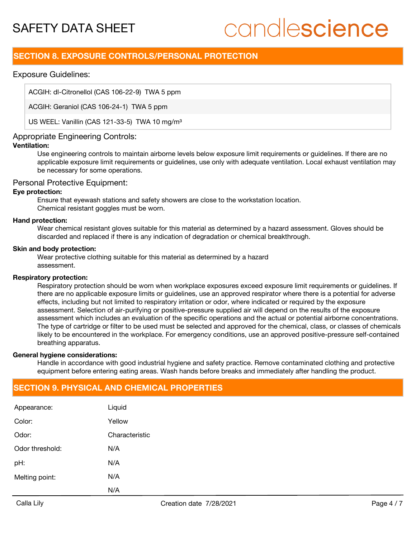# candlescience

## **SECTION 8. EXPOSURE CONTROLS/PERSONAL PROTECTION**

#### Exposure Guidelines:

ACGIH: dl-Citronellol (CAS 106-22-9) TWA 5 ppm

ACGIH: Geraniol (CAS 106-24-1) TWA 5 ppm

US WEEL: Vanillin (CAS 121-33-5) TWA 10 mg/m<sup>3</sup>

#### Appropriate Engineering Controls:

#### **Ventilation:**

Use engineering controls to maintain airborne levels below exposure limit requirements or guidelines. If there are no applicable exposure limit requirements or guidelines, use only with adequate ventilation. Local exhaust ventilation may be necessary for some operations.

#### Personal Protective Equipment:

#### **Eye protection:**

Ensure that eyewash stations and safety showers are close to the workstation location. Chemical resistant goggles must be worn.

#### **Hand protection:**

Wear chemical resistant gloves suitable for this material as determined by a hazard assessment. Gloves should be discarded and replaced if there is any indication of degradation or chemical breakthrough.

#### **Skin and body protection:**

Wear protective clothing suitable for this material as determined by a hazard assessment.

#### **Respiratory protection:**

Respiratory protection should be worn when workplace exposures exceed exposure limit requirements or guidelines. If there are no applicable exposure limits or guidelines, use an approved respirator where there is a potential for adverse effects, including but not limited to respiratory irritation or odor, where indicated or required by the exposure assessment. Selection of air-purifying or positive-pressure supplied air will depend on the results of the exposure assessment which includes an evaluation of the specific operations and the actual or potential airborne concentrations. The type of cartridge or filter to be used must be selected and approved for the chemical, class, or classes of chemicals likely to be encountered in the workplace. For emergency conditions, use an approved positive-pressure self-contained breathing apparatus.

#### **General hygiene considerations:**

Handle in accordance with good industrial hygiene and safety practice. Remove contaminated clothing and protective equipment before entering eating areas. Wash hands before breaks and immediately after handling the product.

### **SECTION 9. PHYSICAL AND CHEMICAL PROPERTIES**

|                 | N/A            |
|-----------------|----------------|
| Melting point:  | N/A            |
| pH:             | N/A            |
| Odor threshold: | N/A            |
| Odor:           | Characteristic |
| Color:          | Yellow         |
| Appearance:     | Liquid         |
|                 |                |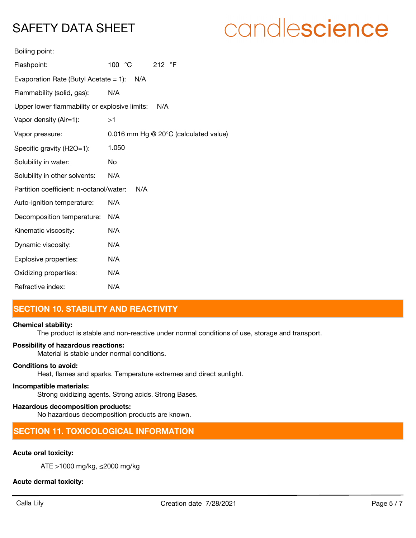# candlescience

| Boiling point: |  |
|----------------|--|
|                |  |

| Flashpoint:                                          | 100 °C<br>212 $\degree$ F             |  |
|------------------------------------------------------|---------------------------------------|--|
| Evaporation Rate (Butyl Acetate = 1): $N/A$          |                                       |  |
| Flammability (solid, gas):                           | N/A                                   |  |
| Upper lower flammability or explosive limits:<br>N/A |                                       |  |
| Vapor density (Air=1):                               | >1                                    |  |
| Vapor pressure:                                      | 0.016 mm Hg @ 20°C (calculated value) |  |
| Specific gravity (H2O=1):                            | 1.050                                 |  |
| Solubility in water:                                 | No                                    |  |
| Solubility in other solvents:                        | N/A                                   |  |
| Partition coefficient: n-octanol/water:              | N/A                                   |  |
| Auto-ignition temperature:                           | N/A                                   |  |
| Decomposition temperature:                           | N/A                                   |  |
| Kinematic viscosity:                                 | N/A                                   |  |
| Dynamic viscosity:                                   | N/A                                   |  |
| Explosive properties:                                | N/A                                   |  |
| Oxidizing properties:                                | N/A                                   |  |
| Refractive index:                                    | N/A                                   |  |

## **SECTION 10. STABILITY AND REACTIVITY**

#### **Chemical stability:**

The product is stable and non-reactive under normal conditions of use, storage and transport.

#### **Possibility of hazardous reactions:**

Material is stable under normal conditions.

#### **Conditions to avoid:**

Heat, flames and sparks. Temperature extremes and direct sunlight.

#### **Incompatible materials:**

Strong oxidizing agents. Strong acids. Strong Bases.

#### **Hazardous decomposition products:**

No hazardous decomposition products are known.

### **SECTION 11. TOXICOLOGICAL INFORMATION**

#### **Acute oral toxicity:**

ATE >1000 mg/kg, ≤2000 mg/kg

#### **Acute dermal toxicity:**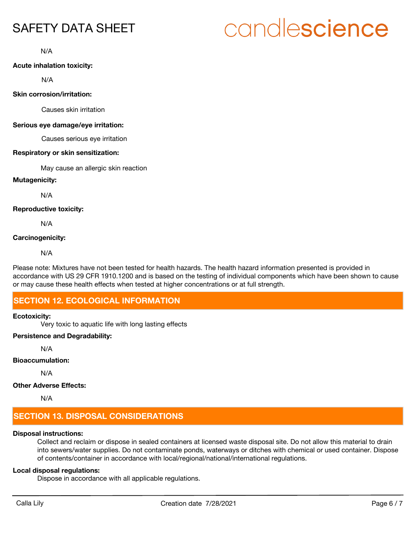# candlescience

N/A

#### **Acute inhalation toxicity:**

N/A

#### **Skin corrosion/irritation:**

Causes skin irritation

#### **Serious eye damage/eye irritation:**

Causes serious eye irritation

#### **Respiratory or skin sensitization:**

May cause an allergic skin reaction

#### **Mutagenicity:**

N/A

#### **Reproductive toxicity:**

N/A

#### **Carcinogenicity:**

N/A

Please note: Mixtures have not been tested for health hazards. The health hazard information presented is provided in accordance with US 29 CFR 1910.1200 and is based on the testing of individual components which have been shown to cause or may cause these health effects when tested at higher concentrations or at full strength.

## **SECTION 12. ECOLOGICAL INFORMATION**

#### **Ecotoxicity:**

Very toxic to aquatic life with long lasting effects

#### **Persistence and Degradability:**

N/A

#### **Bioaccumulation:**

N/A

#### **Other Adverse Effects:**

N/A

# **SECTION 13. DISPOSAL CONSIDERATIONS**

#### **Disposal instructions:**

Collect and reclaim or dispose in sealed containers at licensed waste disposal site. Do not allow this material to drain into sewers/water supplies. Do not contaminate ponds, waterways or ditches with chemical or used container. Dispose of contents/container in accordance with local/regional/national/international regulations.

### **Local disposal regulations:**

Dispose in accordance with all applicable regulations.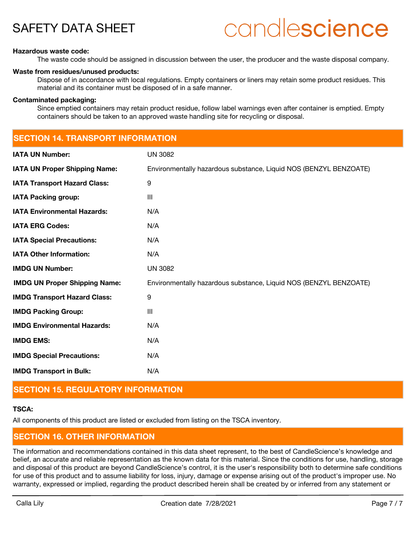# candlescience

#### **Hazardous waste code:**

The waste code should be assigned in discussion between the user, the producer and the waste disposal company.

#### **Waste from residues/unused products:**

Dispose of in accordance with local regulations. Empty containers or liners may retain some product residues. This material and its container must be disposed of in a safe manner.

#### **Contaminated packaging:**

Since emptied containers may retain product residue, follow label warnings even after container is emptied. Empty containers should be taken to an approved waste handling site for recycling or disposal.

| <b>SECTION 14. TRANSPORT INFORMATION</b> |  |  |  |
|------------------------------------------|--|--|--|
|                                          |  |  |  |
|                                          |  |  |  |

| <b>IATA UN Number:</b>               | <b>UN 3082</b>                                                    |
|--------------------------------------|-------------------------------------------------------------------|
| <b>IATA UN Proper Shipping Name:</b> | Environmentally hazardous substance, Liquid NOS (BENZYL BENZOATE) |
| <b>IATA Transport Hazard Class:</b>  | 9                                                                 |
| <b>IATA Packing group:</b>           | III                                                               |
| <b>IATA Environmental Hazards:</b>   | N/A                                                               |
| <b>IATA ERG Codes:</b>               | N/A                                                               |
| <b>IATA Special Precautions:</b>     | N/A                                                               |
| <b>IATA Other Information:</b>       | N/A                                                               |
| <b>IMDG UN Number:</b>               | <b>UN 3082</b>                                                    |
| <b>IMDG UN Proper Shipping Name:</b> | Environmentally hazardous substance, Liquid NOS (BENZYL BENZOATE) |
| <b>IMDG Transport Hazard Class:</b>  | 9                                                                 |
| <b>IMDG Packing Group:</b>           | III                                                               |
| <b>IMDG Environmental Hazards:</b>   | N/A                                                               |
| <b>IMDG EMS:</b>                     | N/A                                                               |
| <b>IMDG Special Precautions:</b>     | N/A                                                               |
| <b>IMDG Transport in Bulk:</b>       | N/A                                                               |

# **SECTION 15. REGULATORY INFORMATION**

#### **TSCA:**

All components of this product are listed or excluded from listing on the TSCA inventory.

# **SECTION 16. OTHER INFORMATION**

The information and recommendations contained in this data sheet represent, to the best of CandleScience's knowledge and belief, an accurate and reliable representation as the known data for this material. Since the conditions for use, handling, storage and disposal of this product are beyond CandleScience's control, it is the user's responsibility both to determine safe conditions for use of this product and to assume liability for loss, injury, damage or expense arising out of the product's improper use. No warranty, expressed or implied, regarding the product described herein shall be created by or inferred from any statement or